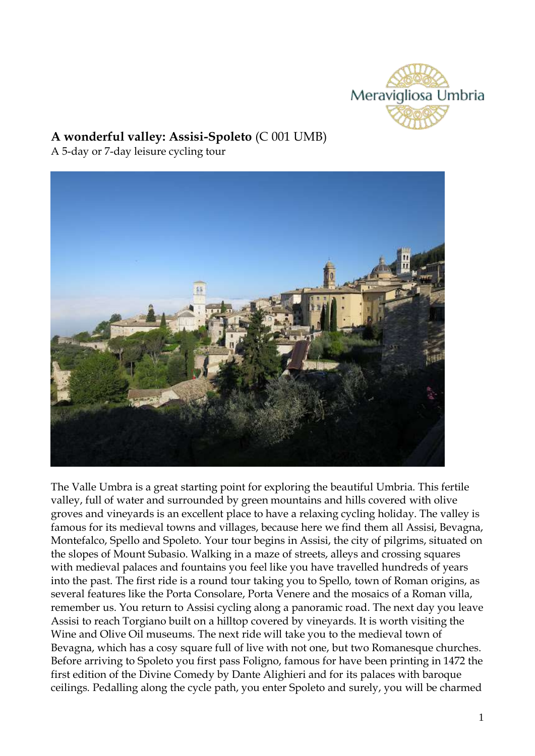

# **A wonderful valley: Assisi-Spoleto** (C 001 UMB)

A 5-day or 7-day leisure cycling tour



The Valle Umbra is a great starting point for exploring the beautiful Umbria. This fertile valley, full of water and surrounded by green mountains and hills covered with olive groves and vineyards is an excellent place to have a relaxing cycling holiday. The valley is famous for its medieval towns and villages, because here we find them all Assisi, Bevagna, Montefalco, Spello and Spoleto. Your tour begins in Assisi, the city of pilgrims, situated on the slopes of Mount Subasio. Walking in a maze of streets, alleys and crossing squares with medieval palaces and fountains you feel like you have travelled hundreds of years into the past. The first ride is a round tour taking you to Spello, town of Roman origins, as several features like the Porta Consolare, Porta Venere and the mosaics of a Roman villa, remember us. You return to Assisi cycling along a panoramic road. The next day you leave Assisi to reach Torgiano built on a hilltop covered by vineyards. It is worth visiting the Wine and Olive Oil museums. The next ride will take you to the medieval town of Bevagna, which has a cosy square full of live with not one, but two Romanesque churches. Before arriving to Spoleto you first pass Foligno, famous for have been printing in 1472 the first edition of the Divine Comedy by Dante Alighieri and for its palaces with baroque ceilings. Pedalling along the cycle path, you enter Spoleto and surely, you will be charmed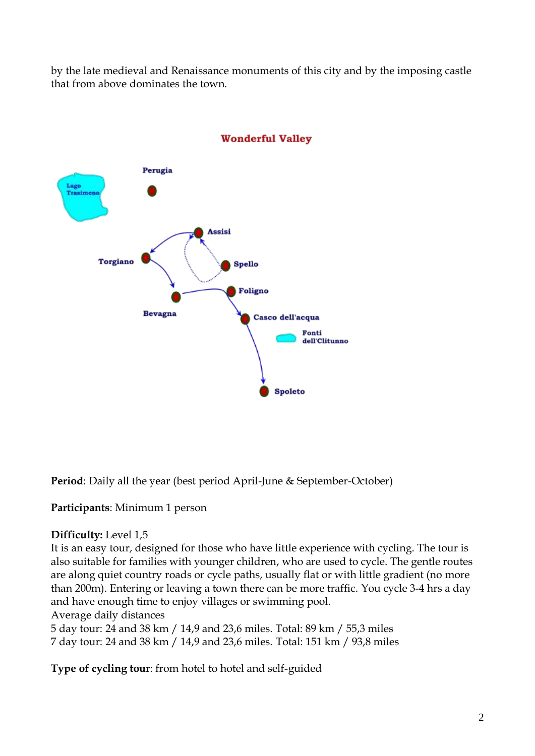by the late medieval and Renaissance monuments of this city and by the imposing castle that from above dominates the town.



### **Wonderful Valley**

**Period**: Daily all the year (best period April-June & September-October)

**Participants**: Minimum 1 person

### **Difficulty:** Level 1,5

It is an easy tour, designed for those who have little experience with cycling. The tour is also suitable for families with younger children, who are used to cycle. The gentle routes are along quiet country roads or cycle paths, usually flat or with little gradient (no more than 200m). Entering or leaving a town there can be more traffic. You cycle 3-4 hrs a day and have enough time to enjoy villages or swimming pool.

Average daily distances

5 day tour: 24 and 38 km / 14,9 and 23,6 miles. Total: 89 km / 55,3 miles 7 day tour: 24 and 38 km / 14,9 and 23,6 miles. Total: 151 km / 93,8 miles

**Type of cycling tour**: from hotel to hotel and self-guided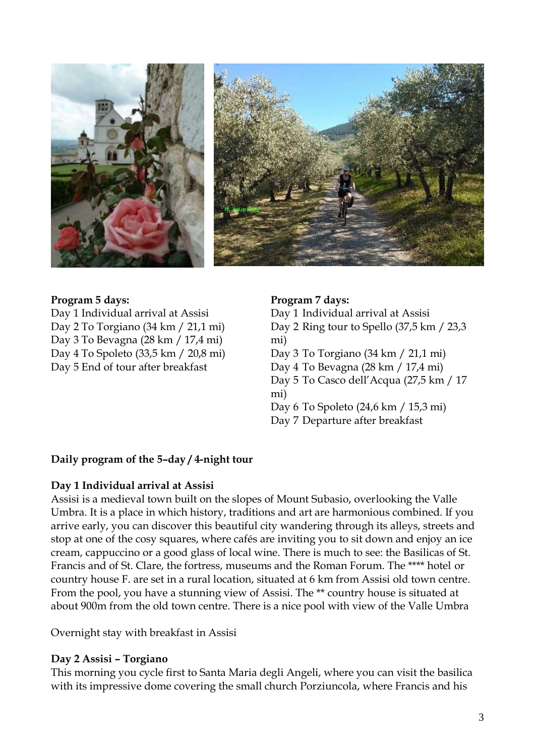

#### **Program 5 days:**

Day 1 Individual arrival at Assisi Day 2 To Torgiano (34 km / 21,1 mi) Day 3 To Bevagna (28 km / 17,4 mi) Day 4 To Spoleto (33,5 km / 20,8 mi) Day 5 End of tour after breakfast

#### **Program 7 days:**

Day 1 Individual arrival at Assisi Day 2 Ring tour to Spello (37,5 km / 23,3 mi) Day 3 To Torgiano (34 km / 21,1 mi) Day 4 To Bevagna (28 km / 17,4 mi) Day 5 To Casco dell'Acqua (27,5 km / 17 mi) Day 6 To Spoleto (24,6 km / 15,3 mi) Day 7 Departure after breakfast

### **Daily program of the 5–day / 4-night tour**

### **Day 1 Individual arrival at Assisi**

Assisi is a medieval town built on the slopes of Mount Subasio, overlooking the Valle Umbra. It is a place in which history, traditions and art are harmonious combined. If you arrive early, you can discover this beautiful city wandering through its alleys, streets and stop at one of the cosy squares, where cafés are inviting you to sit down and enjoy an ice cream, cappuccino or a good glass of local wine. There is much to see: the Basilicas of St. Francis and of St. Clare, the fortress, museums and the Roman Forum. The \*\*\*\* hotel or country house F. are set in a rural location, situated at 6 km from Assisi old town centre. From the pool, you have a stunning view of Assisi. The \*\* country house is situated at about 900m from the old town centre. There is a nice pool with view of the Valle Umbra

Overnight stay with breakfast in Assisi

### **Day 2 Assisi – Torgiano**

This morning you cycle first to Santa Maria degli Angeli, where you can visit the basilica with its impressive dome covering the small church Porziuncola, where Francis and his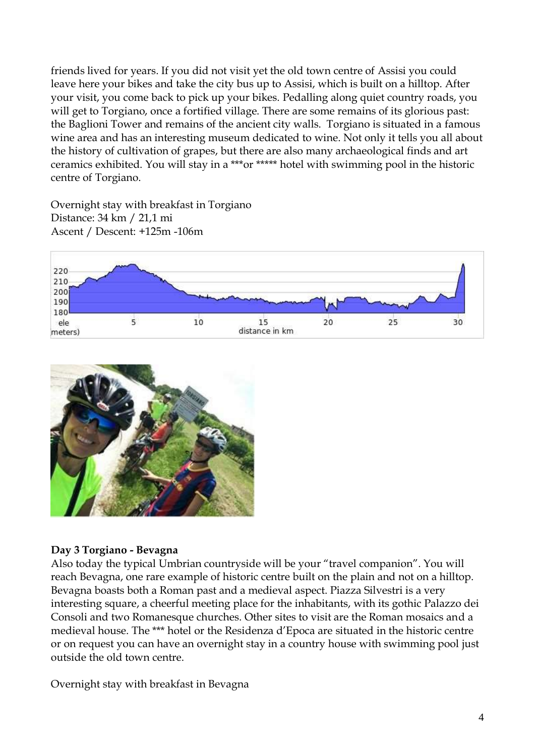friends lived for years. If you did not visit yet the old town centre of Assisi you could leave here your bikes and take the city bus up to Assisi, which is built on a hilltop. After your visit, you come back to pick up your bikes. Pedalling along quiet country roads, you will get to Torgiano, once a fortified village. There are some remains of its glorious past: the Baglioni Tower and remains of the ancient city walls. Torgiano is situated in a famous wine area and has an interesting museum dedicated to wine. Not only it tells you all about the history of cultivation of grapes, but there are also many archaeological finds and art ceramics exhibited. You will stay in a \*\*\*or \*\*\*\*\* hotel with swimming pool in the historic centre of Torgiano.

Overnight stay with breakfast in Torgiano Distance: 34 km / 21,1 mi Ascent / Descent: +125m -106m





### **Day 3 Torgiano - Bevagna**

Also today the typical Umbrian countryside will be your "travel companion". You will reach Bevagna, one rare example of historic centre built on the plain and not on a hilltop. Bevagna boasts both a Roman past and a medieval aspect. Piazza Silvestri is a very interesting square, a cheerful meeting place for the inhabitants, with its gothic Palazzo dei Consoli and two Romanesque churches. Other sites to visit are the Roman mosaics and a medieval house. The \*\*\* hotel or the Residenza d'Epoca are situated in the historic centre or on request you can have an overnight stay in a country house with swimming pool just outside the old town centre.

Overnight stay with breakfast in Bevagna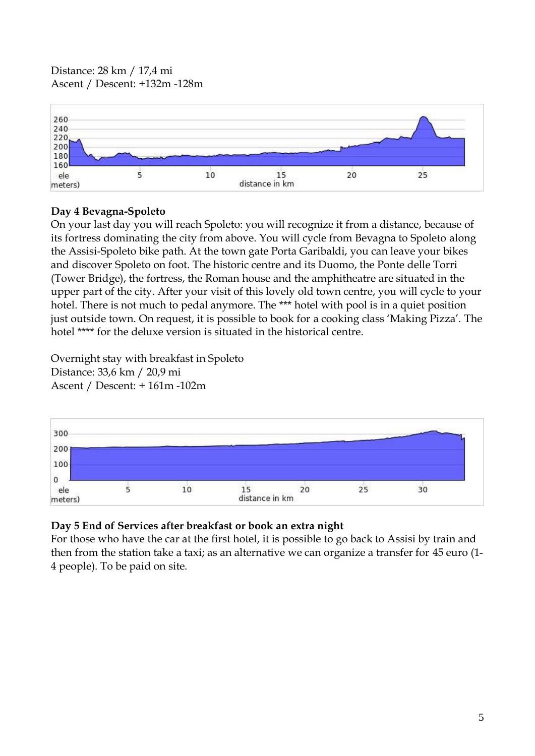Distance: 28 km / 17,4 mi Ascent / Descent: +132m -128m



### **Day 4 Bevagna-Spoleto**

On your last day you will reach Spoleto: you will recognize it from a distance, because of its fortress dominating the city from above. You will cycle from Bevagna to Spoleto along the Assisi-Spoleto bike path. At the town gate Porta Garibaldi, you can leave your bikes and discover Spoleto on foot. The historic centre and its Duomo, the Ponte delle Torri (Tower Bridge), the fortress, the Roman house and the amphitheatre are situated in the upper part of the city. After your visit of this lovely old town centre, you will cycle to your hotel. There is not much to pedal anymore. The \*\*\* hotel with pool is in a quiet position just outside town. On request, it is possible to book for a cooking class 'Making Pizza'. The hotel \*\*\*\* for the deluxe version is situated in the historical centre.

Overnight stay with breakfast in Spoleto Distance: 33,6 km / 20,9 mi Ascent / Descent: + 161m -102m



## **Day 5 End of Services after breakfast or book an extra night**

For those who have the car at the first hotel, it is possible to go back to Assisi by train and then from the station take a taxi; as an alternative we can organize a transfer for 45 euro (1- 4 people). To be paid on site.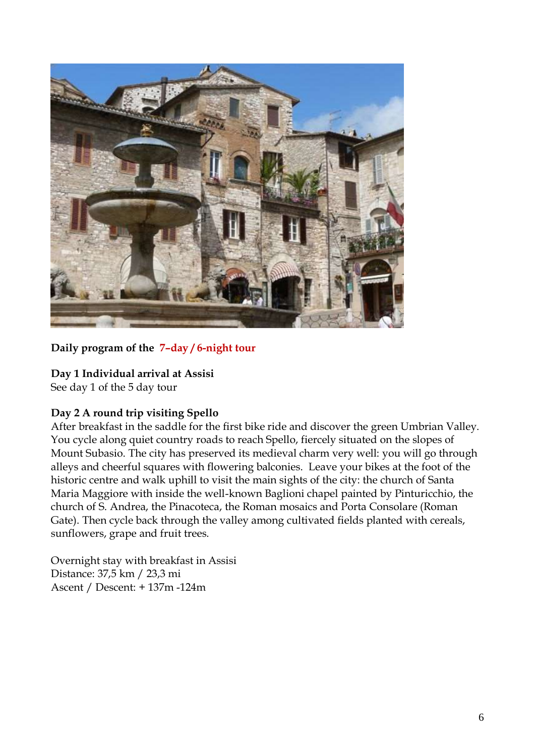

### **Daily program of the 7–day / 6-night tour**

### **Day 1 Individual arrival at Assisi**

See day 1 of the 5 day tour

### **Day 2 A round trip visiting Spello**

After breakfast in the saddle for the first bike ride and discover the green Umbrian Valley. You cycle along quiet country roads to reach Spello, fiercely situated on the slopes of Mount Subasio. The city has preserved its medieval charm very well: you will go through alleys and cheerful squares with flowering balconies. Leave your bikes at the foot of the historic centre and walk uphill to visit the main sights of the city: the church of Santa Maria Maggiore with inside the well-known Baglioni chapel painted by Pinturicchio, the church of S. Andrea, the Pinacoteca, the Roman mosaics and Porta Consolare (Roman Gate). Then cycle back through the valley among cultivated fields planted with cereals, sunflowers, grape and fruit trees.

Overnight stay with breakfast in Assisi Distance: 37,5 km / 23,3 mi Ascent / Descent: + 137m -124m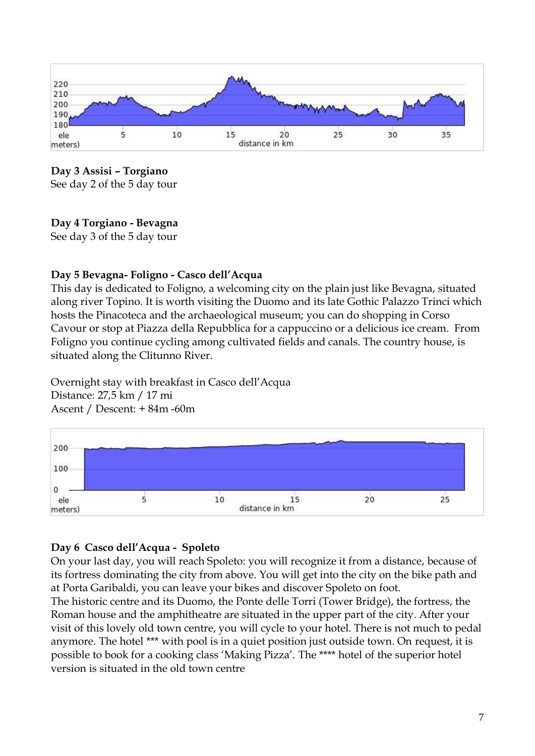

**Day 3 Assisi – Torgiano** 

See day 2 of the 5 day tour

## **Day 4 Torgiano - Bevagna**

See day 3 of the 5 day tour

## **Day 5 Bevagna- Foligno - Casco dell'Acqua**

This day is dedicated to Foligno, a welcoming city on the plain just like Bevagna, situated along river Topino. It is worth visiting the Duomo and its late Gothic Palazzo Trinci which hosts the Pinacoteca and the archaeological museum; you can do shopping in Corso Cavour or stop at Piazza della Repubblica for a cappuccino or a delicious ice cream. From Foligno you continue cycling among cultivated fields and canals. The country house, is situated along the Clitunno River.

Overnight stay with breakfast in Casco dell'Acqua Distance: 27,5 km / 17 mi Ascent / Descent: + 84m -60m



## **Day 6 Casco dell'Acqua - Spoleto**

On your last day, you will reach Spoleto: you will recognize it from a distance, because of its fortress dominating the city from above. You will get into the city on the bike path and at Porta Garibaldi, you can leave your bikes and discover Spoleto on foot.

The historic centre and its Duomo, the Ponte delle Torri (Tower Bridge), the fortress, the Roman house and the amphitheatre are situated in the upper part of the city. After your visit of this lovely old town centre, you will cycle to your hotel. There is not much to pedal anymore. The hotel \*\*\* with pool is in a quiet position just outside town. On request, it is possible to book for a cooking class 'Making Pizza'. The \*\*\*\* hotel of the superior hotel version is situated in the old town centre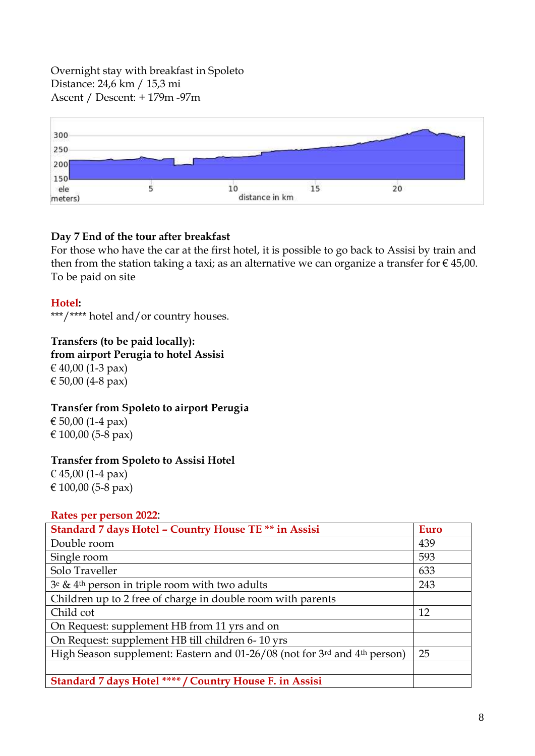Overnight stay with breakfast in Spoleto Distance: 24,6 km / 15,3 mi Ascent / Descent: + 179m -97m



### **Day 7 End of the tour after breakfast**

For those who have the car at the first hotel, it is possible to go back to Assisi by train and then from the station taking a taxi; as an alternative we can organize a transfer for  $\epsilon$  45,00. To be paid on site

**Hotel:**

\*\*\*/\*\*\*\* hotel and/or country houses.

### **Transfers (to be paid locally):**

**from airport Perugia to hotel Assisi**

€ 40,00 (1-3 pax) € 50,00 (4-8 pax)

### **Transfer from Spoleto to airport Perugia**

€ 50,00 (1-4 pax) € 100,00 (5-8 pax)

### **Transfer from Spoleto to Assisi Hotel**

€ 45,00 (1-4 pax) € 100,00 (5-8 pax)

### **Rates per person 2022**:

| Standard 7 days Hotel - Country House TE ** in Assisi                                 | Euro |
|---------------------------------------------------------------------------------------|------|
| Double room                                                                           | 439  |
| Single room                                                                           | 593  |
| Solo Traveller                                                                        | 633  |
| $3^e \& 4^{th}$ person in triple room with two adults                                 | 243  |
| Children up to 2 free of charge in double room with parents                           |      |
| Child cot                                                                             | 12   |
| On Request: supplement HB from 11 yrs and on                                          |      |
| On Request: supplement HB till children 6-10 yrs                                      |      |
| High Season supplement: Eastern and 01-26/08 (not for 3rd and 4 <sup>th</sup> person) | 25   |
|                                                                                       |      |
| Standard 7 days Hotel **** / Country House F. in Assisi                               |      |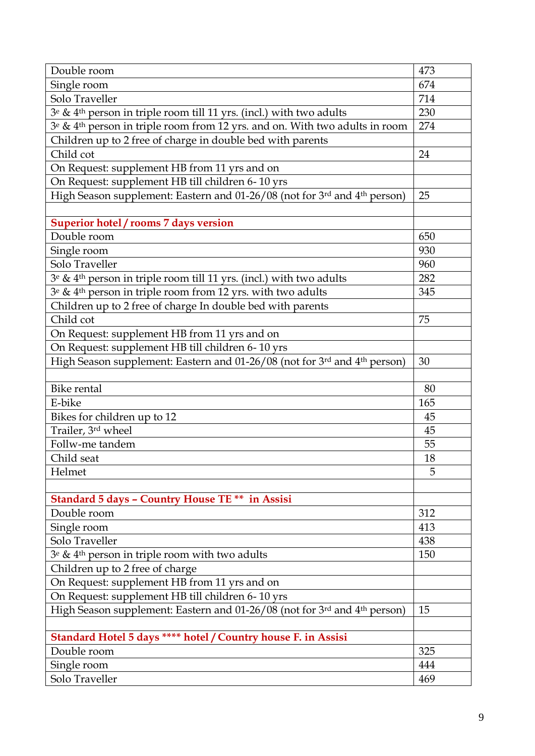| Single room<br>674<br>Solo Traveller<br>714<br>$3e \& 4th$ person in triple room till 11 yrs. (incl.) with two adults<br>230<br>3 <sup>e</sup> & 4 <sup>th</sup> person in triple room from 12 yrs. and on. With two adults in room<br>274<br>Children up to 2 free of charge in double bed with parents<br>Child cot<br>24<br>On Request: supplement HB from 11 yrs and on<br>On Request: supplement HB till children 6-10 yrs<br>High Season supplement: Eastern and 01-26/08 (not for 3rd and 4 <sup>th</sup> person)<br>25<br>Superior hotel / rooms 7 days version<br>650<br>Double room<br>Single room<br>930<br>Solo Traveller<br>960<br>$3^e \& 4^{th}$ person in triple room till 11 yrs. (incl.) with two adults<br>282<br>$3^e \& 4^{th}$ person in triple room from 12 yrs. with two adults<br>345<br>Children up to 2 free of charge In double bed with parents<br>Child cot<br>75<br>On Request: supplement HB from 11 yrs and on<br>On Request: supplement HB till children 6-10 yrs<br>High Season supplement: Eastern and 01-26/08 (not for 3rd and 4th person)<br>30<br><b>Bike rental</b><br>80<br>E-bike<br>165<br>Bikes for children up to 12<br>45<br>Trailer, 3rd wheel<br>45<br>55<br>Follw-me tandem<br>Child seat<br>18<br>Helmet<br>5<br><b>Standard 5 days - Country House TE ** in Assisi</b><br>Double room<br>312<br>Single room<br>413<br>Solo Traveller<br>438<br>$3^e$ & 4 <sup>th</sup> person in triple room with two adults<br>150<br>Children up to 2 free of charge<br>On Request: supplement HB from 11 yrs and on<br>On Request: supplement HB till children 6-10 yrs<br>High Season supplement: Eastern and 01-26/08 (not for 3rd and 4th person)<br>15<br>Standard Hotel 5 days **** hotel / Country house F. in Assisi<br>325<br>Double room<br>444<br>Single room<br>Solo Traveller | Double room | 473 |
|----------------------------------------------------------------------------------------------------------------------------------------------------------------------------------------------------------------------------------------------------------------------------------------------------------------------------------------------------------------------------------------------------------------------------------------------------------------------------------------------------------------------------------------------------------------------------------------------------------------------------------------------------------------------------------------------------------------------------------------------------------------------------------------------------------------------------------------------------------------------------------------------------------------------------------------------------------------------------------------------------------------------------------------------------------------------------------------------------------------------------------------------------------------------------------------------------------------------------------------------------------------------------------------------------------------------------------------------------------------------------------------------------------------------------------------------------------------------------------------------------------------------------------------------------------------------------------------------------------------------------------------------------------------------------------------------------------------------------------------------------------------------------------------------------------------------------------|-------------|-----|
|                                                                                                                                                                                                                                                                                                                                                                                                                                                                                                                                                                                                                                                                                                                                                                                                                                                                                                                                                                                                                                                                                                                                                                                                                                                                                                                                                                                                                                                                                                                                                                                                                                                                                                                                                                                                                                  |             |     |
|                                                                                                                                                                                                                                                                                                                                                                                                                                                                                                                                                                                                                                                                                                                                                                                                                                                                                                                                                                                                                                                                                                                                                                                                                                                                                                                                                                                                                                                                                                                                                                                                                                                                                                                                                                                                                                  |             |     |
|                                                                                                                                                                                                                                                                                                                                                                                                                                                                                                                                                                                                                                                                                                                                                                                                                                                                                                                                                                                                                                                                                                                                                                                                                                                                                                                                                                                                                                                                                                                                                                                                                                                                                                                                                                                                                                  |             |     |
|                                                                                                                                                                                                                                                                                                                                                                                                                                                                                                                                                                                                                                                                                                                                                                                                                                                                                                                                                                                                                                                                                                                                                                                                                                                                                                                                                                                                                                                                                                                                                                                                                                                                                                                                                                                                                                  |             |     |
|                                                                                                                                                                                                                                                                                                                                                                                                                                                                                                                                                                                                                                                                                                                                                                                                                                                                                                                                                                                                                                                                                                                                                                                                                                                                                                                                                                                                                                                                                                                                                                                                                                                                                                                                                                                                                                  |             |     |
|                                                                                                                                                                                                                                                                                                                                                                                                                                                                                                                                                                                                                                                                                                                                                                                                                                                                                                                                                                                                                                                                                                                                                                                                                                                                                                                                                                                                                                                                                                                                                                                                                                                                                                                                                                                                                                  |             |     |
|                                                                                                                                                                                                                                                                                                                                                                                                                                                                                                                                                                                                                                                                                                                                                                                                                                                                                                                                                                                                                                                                                                                                                                                                                                                                                                                                                                                                                                                                                                                                                                                                                                                                                                                                                                                                                                  |             |     |
|                                                                                                                                                                                                                                                                                                                                                                                                                                                                                                                                                                                                                                                                                                                                                                                                                                                                                                                                                                                                                                                                                                                                                                                                                                                                                                                                                                                                                                                                                                                                                                                                                                                                                                                                                                                                                                  |             |     |
|                                                                                                                                                                                                                                                                                                                                                                                                                                                                                                                                                                                                                                                                                                                                                                                                                                                                                                                                                                                                                                                                                                                                                                                                                                                                                                                                                                                                                                                                                                                                                                                                                                                                                                                                                                                                                                  |             |     |
|                                                                                                                                                                                                                                                                                                                                                                                                                                                                                                                                                                                                                                                                                                                                                                                                                                                                                                                                                                                                                                                                                                                                                                                                                                                                                                                                                                                                                                                                                                                                                                                                                                                                                                                                                                                                                                  |             |     |
|                                                                                                                                                                                                                                                                                                                                                                                                                                                                                                                                                                                                                                                                                                                                                                                                                                                                                                                                                                                                                                                                                                                                                                                                                                                                                                                                                                                                                                                                                                                                                                                                                                                                                                                                                                                                                                  |             |     |
|                                                                                                                                                                                                                                                                                                                                                                                                                                                                                                                                                                                                                                                                                                                                                                                                                                                                                                                                                                                                                                                                                                                                                                                                                                                                                                                                                                                                                                                                                                                                                                                                                                                                                                                                                                                                                                  |             |     |
|                                                                                                                                                                                                                                                                                                                                                                                                                                                                                                                                                                                                                                                                                                                                                                                                                                                                                                                                                                                                                                                                                                                                                                                                                                                                                                                                                                                                                                                                                                                                                                                                                                                                                                                                                                                                                                  |             |     |
|                                                                                                                                                                                                                                                                                                                                                                                                                                                                                                                                                                                                                                                                                                                                                                                                                                                                                                                                                                                                                                                                                                                                                                                                                                                                                                                                                                                                                                                                                                                                                                                                                                                                                                                                                                                                                                  |             |     |
|                                                                                                                                                                                                                                                                                                                                                                                                                                                                                                                                                                                                                                                                                                                                                                                                                                                                                                                                                                                                                                                                                                                                                                                                                                                                                                                                                                                                                                                                                                                                                                                                                                                                                                                                                                                                                                  |             |     |
|                                                                                                                                                                                                                                                                                                                                                                                                                                                                                                                                                                                                                                                                                                                                                                                                                                                                                                                                                                                                                                                                                                                                                                                                                                                                                                                                                                                                                                                                                                                                                                                                                                                                                                                                                                                                                                  |             |     |
|                                                                                                                                                                                                                                                                                                                                                                                                                                                                                                                                                                                                                                                                                                                                                                                                                                                                                                                                                                                                                                                                                                                                                                                                                                                                                                                                                                                                                                                                                                                                                                                                                                                                                                                                                                                                                                  |             |     |
|                                                                                                                                                                                                                                                                                                                                                                                                                                                                                                                                                                                                                                                                                                                                                                                                                                                                                                                                                                                                                                                                                                                                                                                                                                                                                                                                                                                                                                                                                                                                                                                                                                                                                                                                                                                                                                  |             |     |
|                                                                                                                                                                                                                                                                                                                                                                                                                                                                                                                                                                                                                                                                                                                                                                                                                                                                                                                                                                                                                                                                                                                                                                                                                                                                                                                                                                                                                                                                                                                                                                                                                                                                                                                                                                                                                                  |             |     |
|                                                                                                                                                                                                                                                                                                                                                                                                                                                                                                                                                                                                                                                                                                                                                                                                                                                                                                                                                                                                                                                                                                                                                                                                                                                                                                                                                                                                                                                                                                                                                                                                                                                                                                                                                                                                                                  |             |     |
|                                                                                                                                                                                                                                                                                                                                                                                                                                                                                                                                                                                                                                                                                                                                                                                                                                                                                                                                                                                                                                                                                                                                                                                                                                                                                                                                                                                                                                                                                                                                                                                                                                                                                                                                                                                                                                  |             |     |
|                                                                                                                                                                                                                                                                                                                                                                                                                                                                                                                                                                                                                                                                                                                                                                                                                                                                                                                                                                                                                                                                                                                                                                                                                                                                                                                                                                                                                                                                                                                                                                                                                                                                                                                                                                                                                                  |             |     |
|                                                                                                                                                                                                                                                                                                                                                                                                                                                                                                                                                                                                                                                                                                                                                                                                                                                                                                                                                                                                                                                                                                                                                                                                                                                                                                                                                                                                                                                                                                                                                                                                                                                                                                                                                                                                                                  |             |     |
|                                                                                                                                                                                                                                                                                                                                                                                                                                                                                                                                                                                                                                                                                                                                                                                                                                                                                                                                                                                                                                                                                                                                                                                                                                                                                                                                                                                                                                                                                                                                                                                                                                                                                                                                                                                                                                  |             |     |
|                                                                                                                                                                                                                                                                                                                                                                                                                                                                                                                                                                                                                                                                                                                                                                                                                                                                                                                                                                                                                                                                                                                                                                                                                                                                                                                                                                                                                                                                                                                                                                                                                                                                                                                                                                                                                                  |             |     |
|                                                                                                                                                                                                                                                                                                                                                                                                                                                                                                                                                                                                                                                                                                                                                                                                                                                                                                                                                                                                                                                                                                                                                                                                                                                                                                                                                                                                                                                                                                                                                                                                                                                                                                                                                                                                                                  |             |     |
|                                                                                                                                                                                                                                                                                                                                                                                                                                                                                                                                                                                                                                                                                                                                                                                                                                                                                                                                                                                                                                                                                                                                                                                                                                                                                                                                                                                                                                                                                                                                                                                                                                                                                                                                                                                                                                  |             |     |
|                                                                                                                                                                                                                                                                                                                                                                                                                                                                                                                                                                                                                                                                                                                                                                                                                                                                                                                                                                                                                                                                                                                                                                                                                                                                                                                                                                                                                                                                                                                                                                                                                                                                                                                                                                                                                                  |             |     |
|                                                                                                                                                                                                                                                                                                                                                                                                                                                                                                                                                                                                                                                                                                                                                                                                                                                                                                                                                                                                                                                                                                                                                                                                                                                                                                                                                                                                                                                                                                                                                                                                                                                                                                                                                                                                                                  |             |     |
|                                                                                                                                                                                                                                                                                                                                                                                                                                                                                                                                                                                                                                                                                                                                                                                                                                                                                                                                                                                                                                                                                                                                                                                                                                                                                                                                                                                                                                                                                                                                                                                                                                                                                                                                                                                                                                  |             |     |
|                                                                                                                                                                                                                                                                                                                                                                                                                                                                                                                                                                                                                                                                                                                                                                                                                                                                                                                                                                                                                                                                                                                                                                                                                                                                                                                                                                                                                                                                                                                                                                                                                                                                                                                                                                                                                                  |             |     |
|                                                                                                                                                                                                                                                                                                                                                                                                                                                                                                                                                                                                                                                                                                                                                                                                                                                                                                                                                                                                                                                                                                                                                                                                                                                                                                                                                                                                                                                                                                                                                                                                                                                                                                                                                                                                                                  |             |     |
|                                                                                                                                                                                                                                                                                                                                                                                                                                                                                                                                                                                                                                                                                                                                                                                                                                                                                                                                                                                                                                                                                                                                                                                                                                                                                                                                                                                                                                                                                                                                                                                                                                                                                                                                                                                                                                  |             |     |
|                                                                                                                                                                                                                                                                                                                                                                                                                                                                                                                                                                                                                                                                                                                                                                                                                                                                                                                                                                                                                                                                                                                                                                                                                                                                                                                                                                                                                                                                                                                                                                                                                                                                                                                                                                                                                                  |             |     |
|                                                                                                                                                                                                                                                                                                                                                                                                                                                                                                                                                                                                                                                                                                                                                                                                                                                                                                                                                                                                                                                                                                                                                                                                                                                                                                                                                                                                                                                                                                                                                                                                                                                                                                                                                                                                                                  |             |     |
|                                                                                                                                                                                                                                                                                                                                                                                                                                                                                                                                                                                                                                                                                                                                                                                                                                                                                                                                                                                                                                                                                                                                                                                                                                                                                                                                                                                                                                                                                                                                                                                                                                                                                                                                                                                                                                  |             |     |
|                                                                                                                                                                                                                                                                                                                                                                                                                                                                                                                                                                                                                                                                                                                                                                                                                                                                                                                                                                                                                                                                                                                                                                                                                                                                                                                                                                                                                                                                                                                                                                                                                                                                                                                                                                                                                                  |             |     |
|                                                                                                                                                                                                                                                                                                                                                                                                                                                                                                                                                                                                                                                                                                                                                                                                                                                                                                                                                                                                                                                                                                                                                                                                                                                                                                                                                                                                                                                                                                                                                                                                                                                                                                                                                                                                                                  |             |     |
|                                                                                                                                                                                                                                                                                                                                                                                                                                                                                                                                                                                                                                                                                                                                                                                                                                                                                                                                                                                                                                                                                                                                                                                                                                                                                                                                                                                                                                                                                                                                                                                                                                                                                                                                                                                                                                  |             |     |
|                                                                                                                                                                                                                                                                                                                                                                                                                                                                                                                                                                                                                                                                                                                                                                                                                                                                                                                                                                                                                                                                                                                                                                                                                                                                                                                                                                                                                                                                                                                                                                                                                                                                                                                                                                                                                                  |             |     |
|                                                                                                                                                                                                                                                                                                                                                                                                                                                                                                                                                                                                                                                                                                                                                                                                                                                                                                                                                                                                                                                                                                                                                                                                                                                                                                                                                                                                                                                                                                                                                                                                                                                                                                                                                                                                                                  |             |     |
|                                                                                                                                                                                                                                                                                                                                                                                                                                                                                                                                                                                                                                                                                                                                                                                                                                                                                                                                                                                                                                                                                                                                                                                                                                                                                                                                                                                                                                                                                                                                                                                                                                                                                                                                                                                                                                  |             |     |
|                                                                                                                                                                                                                                                                                                                                                                                                                                                                                                                                                                                                                                                                                                                                                                                                                                                                                                                                                                                                                                                                                                                                                                                                                                                                                                                                                                                                                                                                                                                                                                                                                                                                                                                                                                                                                                  |             |     |
| 469                                                                                                                                                                                                                                                                                                                                                                                                                                                                                                                                                                                                                                                                                                                                                                                                                                                                                                                                                                                                                                                                                                                                                                                                                                                                                                                                                                                                                                                                                                                                                                                                                                                                                                                                                                                                                              |             |     |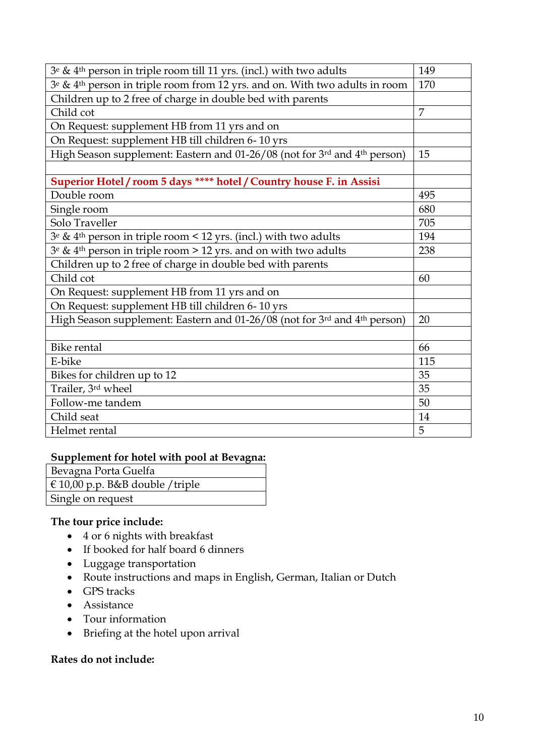| $3^e \& 4^{\text{th}}$ person in triple room till 11 yrs. (incl.) with two adults                   | 149            |
|-----------------------------------------------------------------------------------------------------|----------------|
| 3 <sup>e</sup> & 4 <sup>th</sup> person in triple room from 12 yrs. and on. With two adults in room | 170            |
| Children up to 2 free of charge in double bed with parents                                          |                |
| Child cot                                                                                           | $\overline{7}$ |
| On Request: supplement HB from 11 yrs and on                                                        |                |
| On Request: supplement HB till children 6-10 yrs                                                    |                |
| High Season supplement: Eastern and 01-26/08 (not for 3rd and 4 <sup>th</sup> person)               | 15             |
|                                                                                                     |                |
| Superior Hotel / room 5 days **** hotel / Country house F. in Assisi                                |                |
| Double room                                                                                         | 495            |
| Single room                                                                                         | 680            |
| Solo Traveller                                                                                      | 705            |
| $3e \& 4th$ person in triple room < 12 yrs. (incl.) with two adults                                 | 194            |
| $3e \& 4th$ person in triple room > 12 yrs. and on with two adults                                  | 238            |
| Children up to 2 free of charge in double bed with parents                                          |                |
| Child cot                                                                                           | 60             |
| On Request: supplement HB from 11 yrs and on                                                        |                |
| On Request: supplement HB till children 6-10 yrs                                                    |                |
| High Season supplement: Eastern and 01-26/08 (not for 3rd and 4 <sup>th</sup> person)               | 20             |
|                                                                                                     |                |
| <b>Bike rental</b>                                                                                  | 66             |
| E-bike                                                                                              | 115            |
| Bikes for children up to 12                                                                         | 35             |
| Trailer, 3rd wheel                                                                                  | 35             |
| Follow-me tandem                                                                                    | 50             |
| Child seat                                                                                          | 14             |
| Helmet rental                                                                                       | 5              |

#### **Supplement for hotel with pool at Bevagna:**

| Bevagna Porta Guelfa             |
|----------------------------------|
| € 10,00 p.p. B&B double / triple |
| Single on request                |

## **The tour price include:**

- 4 or 6 nights with breakfast
- If booked for half board 6 dinners
- Luggage transportation
- Route instructions and maps in English, German, Italian or Dutch
- GPS tracks
- **•** Assistance
- Tour information
- Briefing at the hotel upon arrival

#### **Rates do not include:**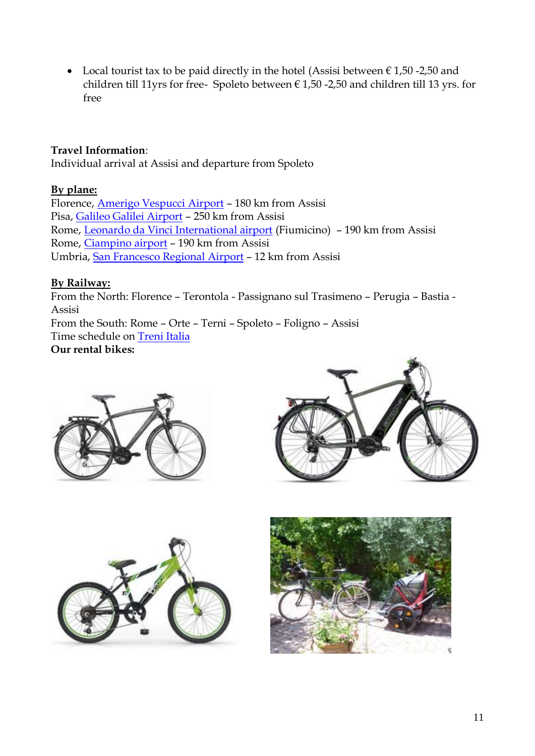• Local tourist tax to be paid directly in the hotel (Assisi between  $\epsilon$  1,50 -2,50 and children till 11yrs for free- Spoleto between  $\epsilon$  1,50 -2,50 and children till 13 yrs. for free

## **Travel Information**:

Individual arrival at Assisi and departure from Spoleto

### **By plane:**

Florence, [Amerigo Vespucci Airport](https://www.aeroporto.firenze.it/it/) – 180 km from Assisi Pisa, [Galileo Galilei Airport](https://www.pisa-airport.com/en/) – 250 km from Assisi Rome, [Leonardo da Vinci International airport](http://www.adr.it/web/aeroporti-di-roma-en-/pax-fco-fiumicino) (Fiumicino) – 190 km from Assisi Rome, [Ciampino airport](http://www.adr.it/web/aeroporti-di-roma-en-/pax-cia-ciampino) – 190 km from Assisi Umbria, [San Francesco Regional Airport](https://www.airport.umbria.it/en/mappa-destinazioni) – 12 km from Assisi

### **By Railway:**

From the North: Florence – Terontola - Passignano sul Trasimeno – Perugia – Bastia - Assisi From the South: Rome – Orte – Terni – Spoleto – Foligno – Assisi Time schedule on [Treni Italia](https://www.trenitalia.com/en.html) **Our rental bikes:**